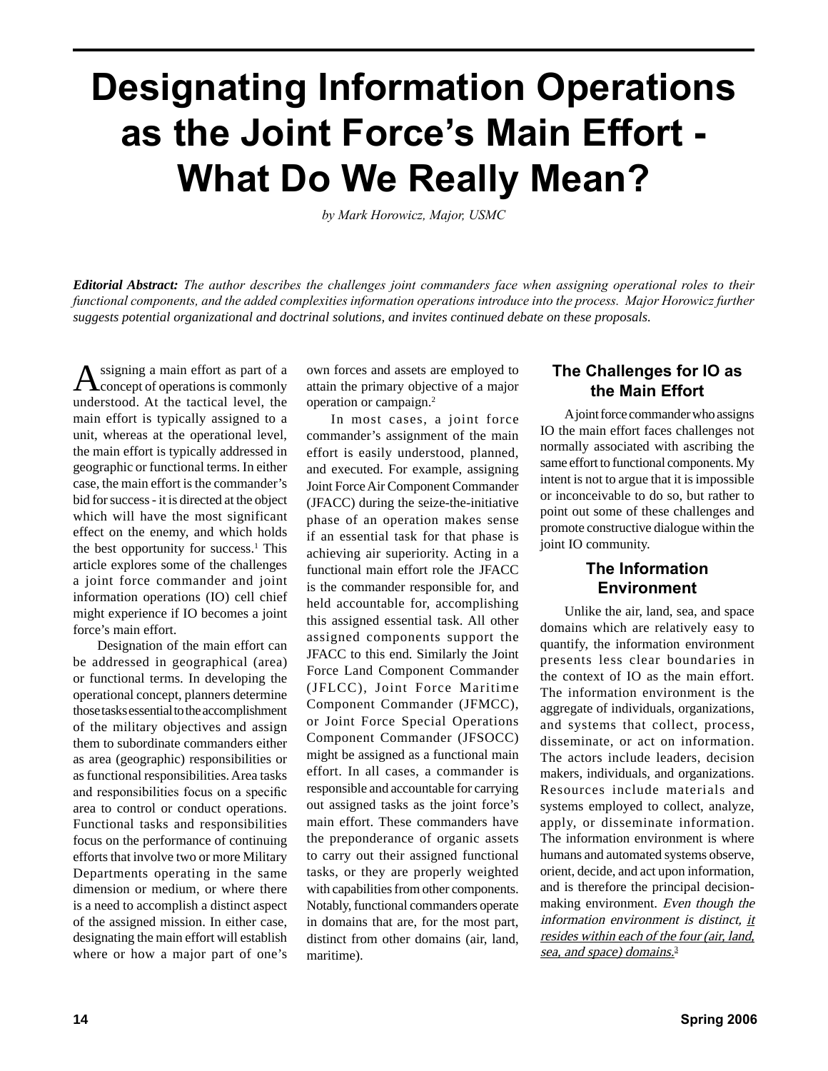# **Designating Information Operations as the Joint Force's Main Effort - What Do We Really Mean?**

*by Mark Horowicz, Major, USMC*

*Editorial Abstract: The author describes the challenges joint commanders face when assigning operational roles to their functional components, and the added complexities information operations introduce into the process. Major Horowicz further suggests potential organizational and doctrinal solutions, and invites continued debate on these proposals.*

Assigning a main effort as part of a concept of operations is commonly understood. At the tactical level, the main effort is typically assigned to a unit, whereas at the operational level, the main effort is typically addressed in geographic or functional terms. In either case, the main effort is the commander's bid for success - it is directed at the object which will have the most significant effect on the enemy, and which holds the best opportunity for success.<sup>1</sup> This article explores some of the challenges a joint force commander and joint information operations (IO) cell chief might experience if IO becomes a joint force's main effort.

Designation of the main effort can be addressed in geographical (area) or functional terms. In developing the operational concept, planners determine those tasks essential to the accomplishment of the military objectives and assign them to subordinate commanders either as area (geographic) responsibilities or as functional responsibilities. Area tasks and responsibilities focus on a specific area to control or conduct operations. Functional tasks and responsibilities focus on the performance of continuing efforts that involve two or more Military Departments operating in the same dimension or medium, or where there is a need to accomplish a distinct aspect of the assigned mission. In either case, designating the main effort will establish where or how a major part of one's

own forces and assets are employed to attain the primary objective of a major operation or campaign.2

In most cases, a joint force commander's assignment of the main effort is easily understood, planned, and executed. For example, assigning Joint Force Air Component Commander (JFACC) during the seize-the-initiative phase of an operation makes sense if an essential task for that phase is achieving air superiority. Acting in a functional main effort role the JFACC is the commander responsible for, and held accountable for, accomplishing this assigned essential task. All other assigned components support the JFACC to this end. Similarly the Joint Force Land Component Commander (JFLCC), Joint Force Maritime Component Commander (JFMCC), or Joint Force Special Operations Component Commander (JFSOCC) might be assigned as a functional main effort. In all cases, a commander is responsible and accountable for carrying out assigned tasks as the joint force's main effort. These commanders have the preponderance of organic assets to carry out their assigned functional tasks, or they are properly weighted with capabilities from other components. Notably, functional commanders operate in domains that are, for the most part, distinct from other domains (air, land, maritime).

### **The Challenges for IO as the Main Effort**

A joint force commander who assigns IO the main effort faces challenges not normally associated with ascribing the same effort to functional components. My intent is not to argue that it is impossible or inconceivable to do so, but rather to point out some of these challenges and promote constructive dialogue within the joint IO community.

### **The Information Environment**

Unlike the air, land, sea, and space domains which are relatively easy to quantify, the information environment presents less clear boundaries in the context of IO as the main effort. The information environment is the aggregate of individuals, organizations, and systems that collect, process, disseminate, or act on information. The actors include leaders, decision makers, individuals, and organizations. Resources include materials and systems employed to collect, analyze, apply, or disseminate information. The information environment is where humans and automated systems observe, orient, decide, and act upon information, and is therefore the principal decisionmaking environment. Even though the information environment is distinct, it resides within each of the four (air, land, sea, and space) domains.<sup>3</sup>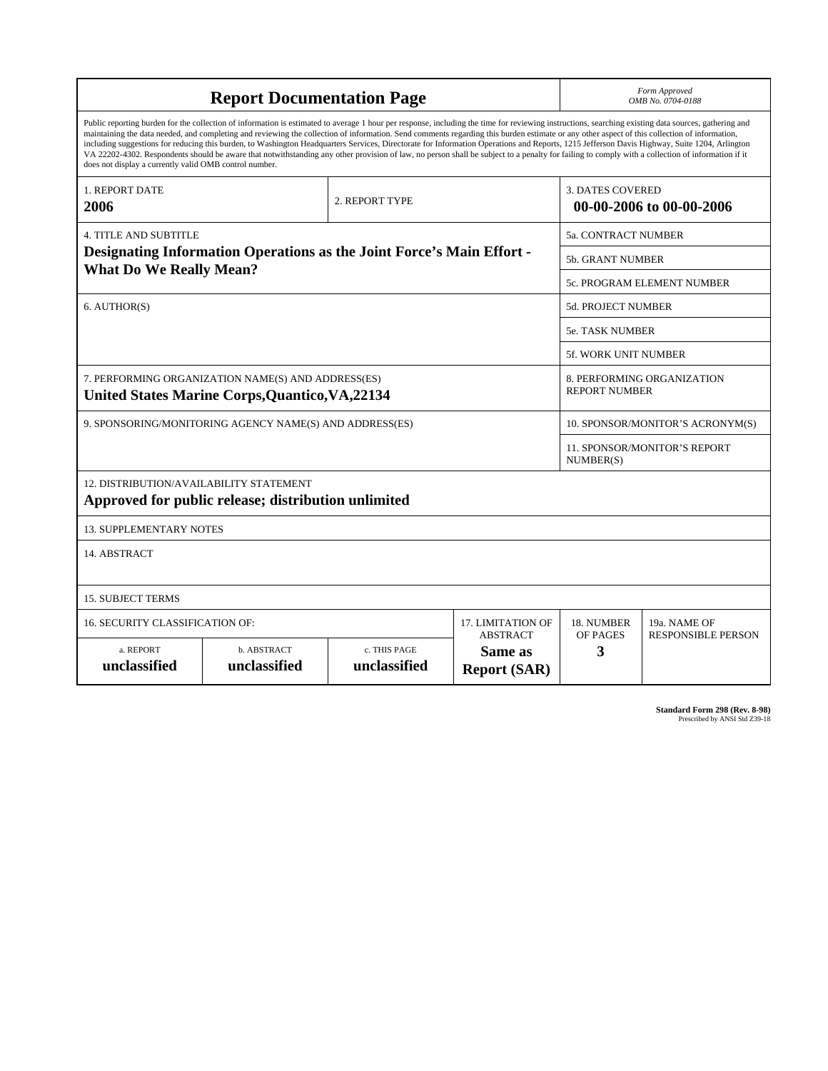| <b>Report Documentation Page</b>                                                                                                                                                                                                                                                                                                                                                                                                                                                                                                                                                                                                                                                                                                                                                                                                                                   |                             |                              |                                | Form Approved<br>OMB No. 0704-0188                  |                                           |
|--------------------------------------------------------------------------------------------------------------------------------------------------------------------------------------------------------------------------------------------------------------------------------------------------------------------------------------------------------------------------------------------------------------------------------------------------------------------------------------------------------------------------------------------------------------------------------------------------------------------------------------------------------------------------------------------------------------------------------------------------------------------------------------------------------------------------------------------------------------------|-----------------------------|------------------------------|--------------------------------|-----------------------------------------------------|-------------------------------------------|
| Public reporting burden for the collection of information is estimated to average 1 hour per response, including the time for reviewing instructions, searching existing data sources, gathering and<br>maintaining the data needed, and completing and reviewing the collection of information. Send comments regarding this burden estimate or any other aspect of this collection of information,<br>including suggestions for reducing this burden, to Washington Headquarters Services, Directorate for Information Operations and Reports, 1215 Jefferson Davis Highway, Suite 1204, Arlington<br>VA 22202-4302. Respondents should be aware that notwithstanding any other provision of law, no person shall be subject to a penalty for failing to comply with a collection of information if it<br>does not display a currently valid OMB control number. |                             |                              |                                |                                                     |                                           |
| 1. REPORT DATE<br>2006                                                                                                                                                                                                                                                                                                                                                                                                                                                                                                                                                                                                                                                                                                                                                                                                                                             | 2. REPORT TYPE              |                              |                                | <b>3. DATES COVERED</b><br>00-00-2006 to 00-00-2006 |                                           |
| <b>4. TITLE AND SUBTITLE</b>                                                                                                                                                                                                                                                                                                                                                                                                                                                                                                                                                                                                                                                                                                                                                                                                                                       |                             |                              |                                | <b>5a. CONTRACT NUMBER</b>                          |                                           |
| Designating Information Operations as the Joint Force's Main Effort -<br><b>What Do We Really Mean?</b>                                                                                                                                                                                                                                                                                                                                                                                                                                                                                                                                                                                                                                                                                                                                                            |                             |                              |                                | <b>5b. GRANT NUMBER</b>                             |                                           |
|                                                                                                                                                                                                                                                                                                                                                                                                                                                                                                                                                                                                                                                                                                                                                                                                                                                                    |                             |                              |                                | <b>5c. PROGRAM ELEMENT NUMBER</b>                   |                                           |
| 6. AUTHOR(S)                                                                                                                                                                                                                                                                                                                                                                                                                                                                                                                                                                                                                                                                                                                                                                                                                                                       |                             |                              |                                | <b>5d. PROJECT NUMBER</b>                           |                                           |
|                                                                                                                                                                                                                                                                                                                                                                                                                                                                                                                                                                                                                                                                                                                                                                                                                                                                    |                             |                              |                                | 5e. TASK NUMBER                                     |                                           |
|                                                                                                                                                                                                                                                                                                                                                                                                                                                                                                                                                                                                                                                                                                                                                                                                                                                                    |                             |                              |                                | <b>5f. WORK UNIT NUMBER</b>                         |                                           |
| 7. PERFORMING ORGANIZATION NAME(S) AND ADDRESS(ES)<br><b>United States Marine Corps, Quantico, VA, 22134</b>                                                                                                                                                                                                                                                                                                                                                                                                                                                                                                                                                                                                                                                                                                                                                       |                             |                              |                                | 8. PERFORMING ORGANIZATION<br><b>REPORT NUMBER</b>  |                                           |
| 9. SPONSORING/MONITORING AGENCY NAME(S) AND ADDRESS(ES)                                                                                                                                                                                                                                                                                                                                                                                                                                                                                                                                                                                                                                                                                                                                                                                                            |                             |                              |                                | 10. SPONSOR/MONITOR'S ACRONYM(S)                    |                                           |
|                                                                                                                                                                                                                                                                                                                                                                                                                                                                                                                                                                                                                                                                                                                                                                                                                                                                    |                             |                              |                                | 11. SPONSOR/MONITOR'S REPORT<br>NUMBER(S)           |                                           |
| <b>12. DISTRIBUTION/AVAILABILITY STATEMENT</b><br>Approved for public release; distribution unlimited                                                                                                                                                                                                                                                                                                                                                                                                                                                                                                                                                                                                                                                                                                                                                              |                             |                              |                                |                                                     |                                           |
| <b>13. SUPPLEMENTARY NOTES</b>                                                                                                                                                                                                                                                                                                                                                                                                                                                                                                                                                                                                                                                                                                                                                                                                                                     |                             |                              |                                |                                                     |                                           |
| 14. ABSTRACT                                                                                                                                                                                                                                                                                                                                                                                                                                                                                                                                                                                                                                                                                                                                                                                                                                                       |                             |                              |                                |                                                     |                                           |
| <b>15. SUBJECT TERMS</b>                                                                                                                                                                                                                                                                                                                                                                                                                                                                                                                                                                                                                                                                                                                                                                                                                                           |                             |                              |                                |                                                     |                                           |
| 17. LIMITATION OF<br>16. SECURITY CLASSIFICATION OF:<br><b>ABSTRACT</b>                                                                                                                                                                                                                                                                                                                                                                                                                                                                                                                                                                                                                                                                                                                                                                                            |                             |                              |                                | 18. NUMBER<br>OF PAGES                              | 19a. NAME OF<br><b>RESPONSIBLE PERSON</b> |
| a. REPORT<br>unclassified                                                                                                                                                                                                                                                                                                                                                                                                                                                                                                                                                                                                                                                                                                                                                                                                                                          | b. ABSTRACT<br>unclassified | c. THIS PAGE<br>unclassified | Same as<br><b>Report (SAR)</b> | 3                                                   |                                           |

**Standard Form 298 (Rev. 8-98)**<br>Prescribed by ANSI Std Z39-18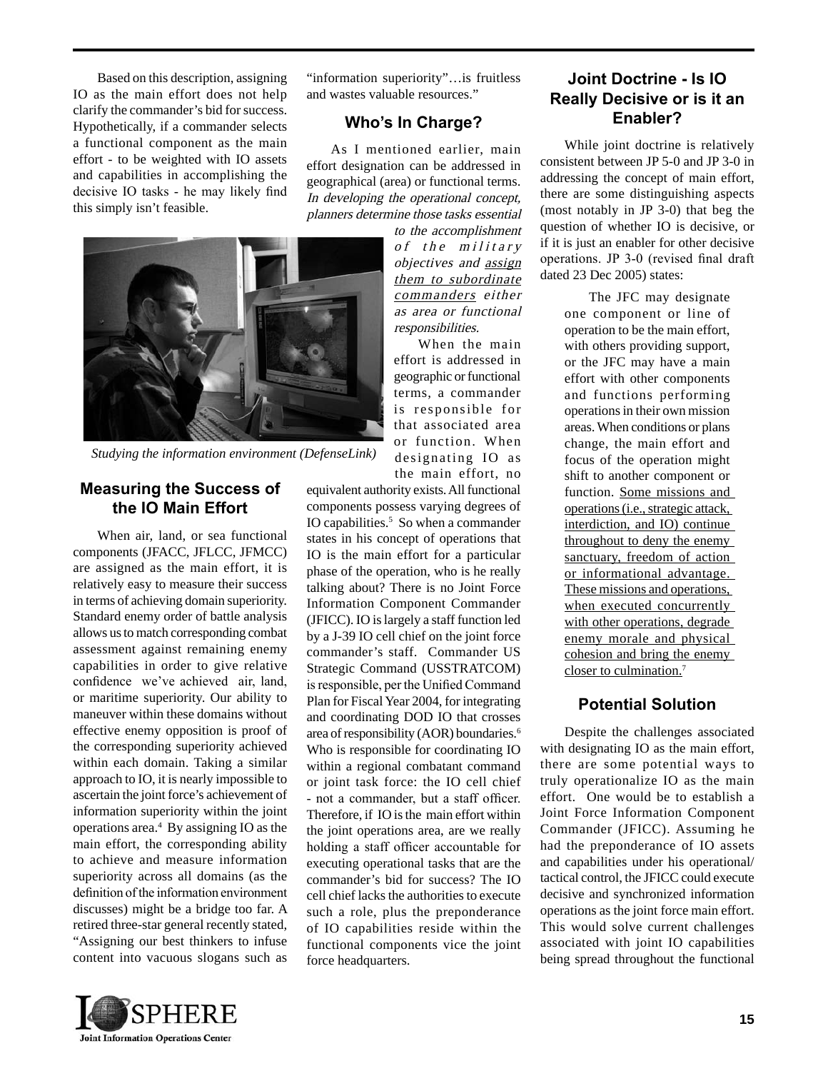Based on this description, assigning IO as the main effort does not help clarify the commander's bid for success. Hypothetically, if a commander selects a functional component as the main effort - to be weighted with IO assets and capabilities in accomplishing the decisive IO tasks - he may likely find this simply isn't feasible.

"information superiority"…is fruitless and wastes valuable resources."

### **Who's In Charge?**

As I mentioned earlier, main effort designation can be addressed in geographical (area) or functional terms. In developing the operational concept, planners determine those tasks essential

> to the accomplishment of the military objectives and assign them to subordinate commanders either as area or functional responsibilities.

> When the main effort is addressed in geographic or functional terms, a commander is responsible for that associated area



*Studying the information environment (DefenseLink)*

### **Measuring the Success of the IO Main Effort**

When air, land, or sea functional components (JFACC, JFLCC, JFMCC) are assigned as the main effort, it is relatively easy to measure their success in terms of achieving domain superiority. Standard enemy order of battle analysis allows us to match corresponding combat assessment against remaining enemy capabilities in order to give relative confidence we've achieved air, land, or maritime superiority. Our ability to maneuver within these domains without effective enemy opposition is proof of the corresponding superiority achieved within each domain. Taking a similar approach to IO, it is nearly impossible to ascertain the joint force's achievement of information superiority within the joint operations area.4 By assigning IO as the main effort, the corresponding ability to achieve and measure information superiority across all domains (as the definition of the information environment discusses) might be a bridge too far. A retired three-star general recently stated, "Assigning our best thinkers to infuse content into vacuous slogans such as

or function. When designating IO as the main effort, no equivalent authority exists. All functional components possess varying degrees of IO capabilities.<sup>5</sup> So when a commander states in his concept of operations that IO is the main effort for a particular phase of the operation, who is he really talking about? There is no Joint Force Information Component Commander (JFICC). IO is largely a staff function led by a J-39 IO cell chief on the joint force commander's staff. Commander US Strategic Command (USSTRATCOM) is responsible, per the Unified Command Plan for Fiscal Year 2004, for integrating and coordinating DOD IO that crosses area of responsibility (AOR) boundaries.6 Who is responsible for coordinating IO within a regional combatant command or joint task force: the IO cell chief - not a commander, but a staff officer. Therefore, if IO is the main effort within the joint operations area, are we really holding a staff officer accountable for executing operational tasks that are the commander's bid for success? The IO cell chief lacks the authorities to execute such a role, plus the preponderance of IO capabilities reside within the functional components vice the joint force headquarters.

# **Joint Doctrine - Is IO Really Decisive or is it an Enabler?**

While joint doctrine is relatively consistent between JP 5-0 and JP 3-0 in addressing the concept of main effort, there are some distinguishing aspects (most notably in JP 3-0) that beg the question of whether IO is decisive, or if it is just an enabler for other decisive operations. JP 3-0 (revised final draft dated 23 Dec 2005) states:

> The JFC may designate one component or line of operation to be the main effort, with others providing support, or the JFC may have a main effort with other components and functions performing operations in their own mission areas. When conditions or plans change, the main effort and focus of the operation might shift to another component or function. Some missions and operations (i.e., strategic attack, interdiction, and IO) continue throughout to deny the enemy sanctuary, freedom of action or informational advantage. These missions and operations, when executed concurrently with other operations, degrade enemy morale and physical cohesion and bring the enemy closer to culmination.7

## **Potential Solution**

Despite the challenges associated with designating IO as the main effort, there are some potential ways to truly operationalize IO as the main effort. One would be to establish a Joint Force Information Component Commander (JFICC). Assuming he had the preponderance of IO assets and capabilities under his operational/ tactical control, the JFICC could execute decisive and synchronized information operations as the joint force main effort. This would solve current challenges associated with joint IO capabilities being spread throughout the functional